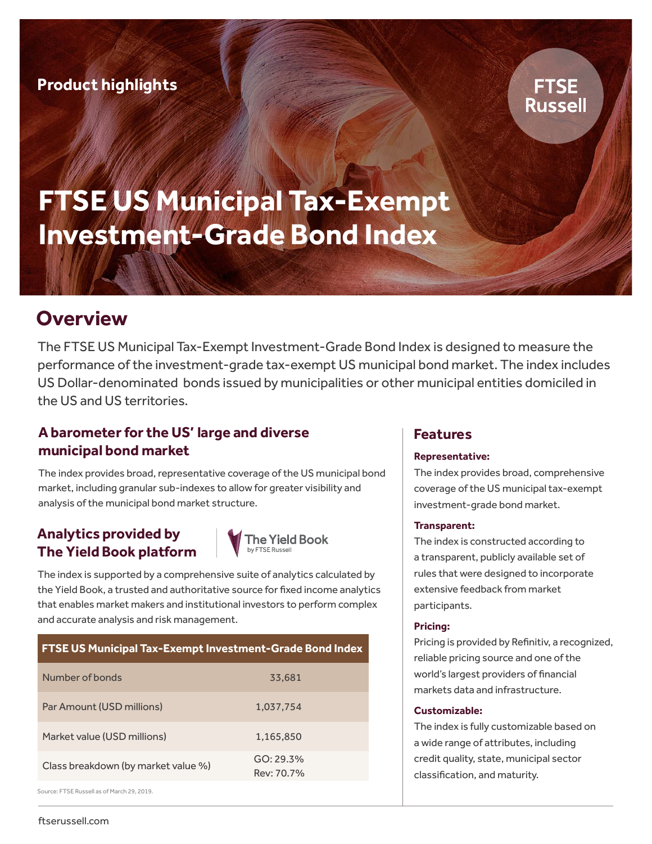# **FTSE Russell**

# **FTSE US Municipal Tax-Exempt Investment-Grade Bond Index**

# **Overview**

The FTSE US Municipal Tax-Exempt Investment-Grade Bond Index is designed to measure the performance of the investment-grade tax-exempt US municipal bond market. The index includes US Dollar-denominated bonds issued by municipalities or other municipal entities domiciled in the US and US territories.

# **A barometer for the US' large and diverse municipal bond market**

The index provides broad, representative coverage of the US municipal bond market, including granular sub-indexes to allow for greater visibility and analysis of the municipal bond market structure.

## **Analytics provided by The Yield Book platform**



The index is supported by a comprehensive suite of analytics calculated by the Yield Book, a trusted and authoritative source for fixed income analytics that enables market makers and institutional investors to perform complex and accurate analysis and risk management.

| <b>FTSE US Municipal Tax-Exempt Investment-Grade Bond Index</b> |                         |
|-----------------------------------------------------------------|-------------------------|
| Number of bonds                                                 | 33.681                  |
| Par Amount (USD millions)                                       | 1.037.754               |
| Market value (USD millions)                                     | 1.165.850               |
| Class breakdown (by market value %)                             | GO: 29.3%<br>Rev: 70.7% |
| Source: FTSE Russell as of March 29, 2019.                      |                         |

### **Features**

#### **Representative:**

The index provides broad, comprehensive coverage of the US municipal tax-exempt investment-grade bond market.

#### **Transparent:**

The index is constructed according to a transparent, publicly available set of rules that were designed to incorporate extensive feedback from market participants.

#### **Pricing:**

Pricing is provided by Refinitiv, a recognized, reliable pricing source and one of the world's largest providers of financial markets data and infrastructure.

#### **Customizable:**

The index is fully customizable based on a wide range of attributes, including credit quality, state, municipal sector classification, and maturity.

ftserussell.com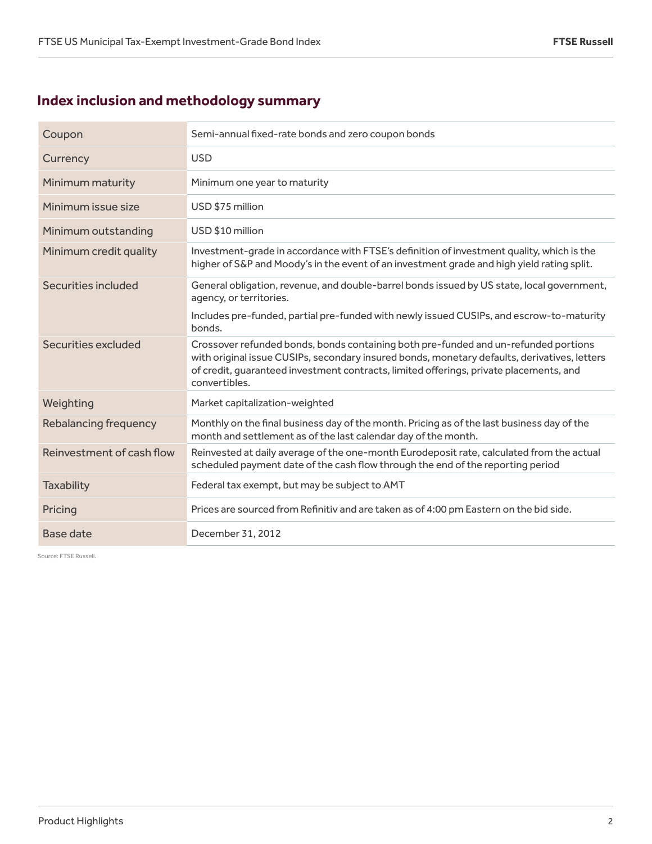# **Index inclusion and methodology summary**

| Coupon                    | Semi-annual fixed-rate bonds and zero coupon bonds                                                                                                                                                                                                                                             |
|---------------------------|------------------------------------------------------------------------------------------------------------------------------------------------------------------------------------------------------------------------------------------------------------------------------------------------|
| Currency                  | <b>USD</b>                                                                                                                                                                                                                                                                                     |
| Minimum maturity          | Minimum one year to maturity                                                                                                                                                                                                                                                                   |
| Minimum issue size        | USD \$75 million                                                                                                                                                                                                                                                                               |
| Minimum outstanding       | USD \$10 million                                                                                                                                                                                                                                                                               |
| Minimum credit quality    | Investment-grade in accordance with FTSE's definition of investment quality, which is the<br>higher of S&P and Moody's in the event of an investment grade and high yield rating split.                                                                                                        |
| Securities included       | General obligation, revenue, and double-barrel bonds issued by US state, local government,<br>agency, or territories.                                                                                                                                                                          |
|                           | Includes pre-funded, partial pre-funded with newly issued CUSIPs, and escrow-to-maturity<br>bonds.                                                                                                                                                                                             |
| Securities excluded       | Crossover refunded bonds, bonds containing both pre-funded and un-refunded portions<br>with original issue CUSIPs, secondary insured bonds, monetary defaults, derivatives, letters<br>of credit, quaranteed investment contracts, limited offerings, private placements, and<br>convertibles. |
| Weighting                 | Market capitalization-weighted                                                                                                                                                                                                                                                                 |
| Rebalancing frequency     | Monthly on the final business day of the month. Pricing as of the last business day of the<br>month and settlement as of the last calendar day of the month.                                                                                                                                   |
| Reinvestment of cash flow | Reinvested at daily average of the one-month Eurodeposit rate, calculated from the actual<br>scheduled payment date of the cash flow through the end of the reporting period                                                                                                                   |
| <b>Taxability</b>         | Federal tax exempt, but may be subject to AMT                                                                                                                                                                                                                                                  |
| Pricing                   | Prices are sourced from Refinitiv and are taken as of 4:00 pm Eastern on the bid side.                                                                                                                                                                                                         |
| Base date                 | December 31, 2012                                                                                                                                                                                                                                                                              |

Source: FTSE Russell.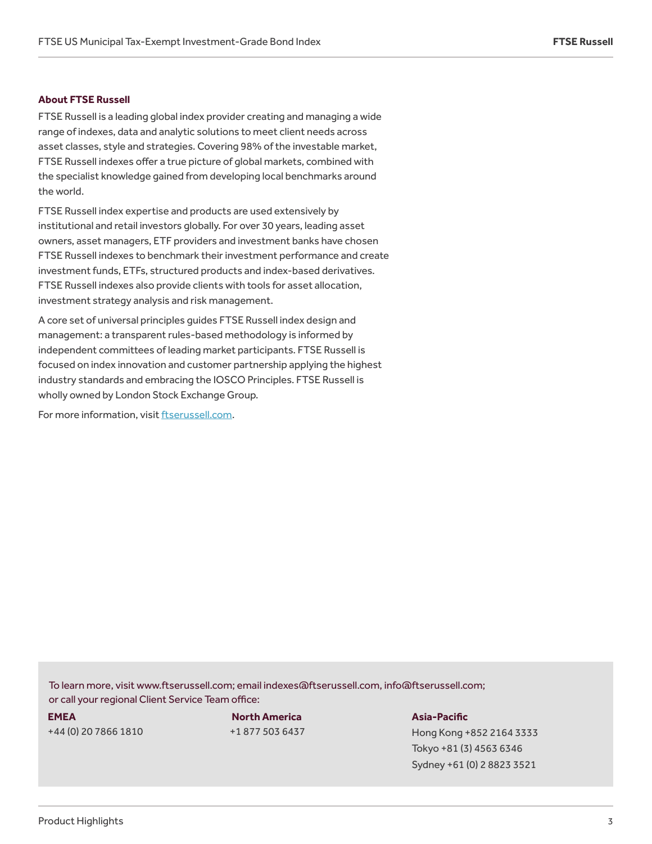#### **About FTSE Russell**

FTSE Russell is a leading global index provider creating and managing a wide range of indexes, data and analytic solutions to meet client needs across asset classes, style and strategies. Covering 98% of the investable market, FTSE Russell indexes offer a true picture of global markets, combined with the specialist knowledge gained from developing local benchmarks around the world.

FTSE Russell index expertise and products are used extensively by institutional and retail investors globally. For over 30 years, leading asset owners, asset managers, ETF providers and investment banks have chosen FTSE Russell indexes to benchmark their investment performance and create investment funds, ETFs, structured products and index-based derivatives. FTSE Russell indexes also provide clients with tools for asset allocation, investment strategy analysis and risk management.

A core set of universal principles guides FTSE Russell index design and management: a transparent rules-based methodology is informed by independent committees of leading market participants. FTSE Russell is focused on index innovation and customer partnership applying the highest industry standards and embracing the IOSCO Principles. FTSE Russell is wholly owned by London Stock Exchange Group.

For more information, visit ftserussell.com.

To learn more, visit www.ftserussell.com; email indexes@ftserussell.com, info@ftserussell.com; or call your regional Client Service Team office:

#### **EMEA**

+44 (0) 20 7866 1810

**North America** +1 877 503 6437 **Asia-Pacific**

Hong Kong +852 2164 3333 Tokyo +81 (3) 4563 6346 Sydney +61 (0) 2 8823 3521